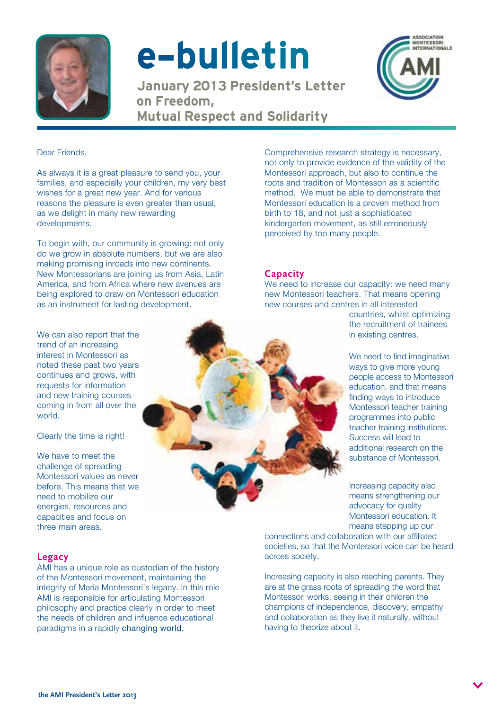

# e-bulletin

January 2013 President's Letter on Freedom, Mutual Respect and Solidarity



Dear Friends,

As always it is a great pleasure to send you, your families, and especially your children, my very best wishes for a great new year. And for various reasons the pleasure is even greater than usual, as we delight in many new rewarding developments.

To begin with, our community is growing: not only do we grow in absolute numbers, but we are also making promising inroads into new continents. New Montessorians are joining us from Asia, Latin America, and from Africa where new avenues are being explored to draw on Montessori education as an instrument for lasting development.

We can also report that the trend of an increasing interest in Montessori as noted these past two years continues and grows, with requests for information and new training courses coming in from all over the world.

Clearly the time is right!

We have to meet the challenge of spreading Montessori values as never before. This means that we need to mobilize our energies, resources and capacities and focus on three main areas.

Comprehensive research strategy is necessary, not only to provide evidence of the validity of the Montessori approach, but also to continue the roots and tradition of Montessori as a scientific method. We must be able to demonstrate that Montessori education is a proven method from birth to 18, and not just a sophisticated kindergarten movement, as still erroneously perceived by too many people.

### **Capacity**

We need to increase our capacity: we need many new Montessori teachers. That means opening new courses and centres in all interested

countries, whilst optimizing the recruitment of trainees in existing centres.

We need to find imaginative ways to give more young people access to Montessori education, and that means finding ways to introduce Montessori teacher training programmes into public teacher training institutions. Success will lead to additional research on the substance of Montessori.

Increasing capacity also means strengthening our advocacy for quality Montessori education. It means stepping up our

connections and collaboration with our affiliated societies, so that the Montessori voice can be heard across society.

Increasing capacity is also reaching parents. They are at the grass roots of spreading the word that Montessori works, seeing in their children the champions of independence, discovery, empathy and collaboration as they live it naturally, without having to theorize about it.

## **Legacy**

AMI has a unique role as custodian of the history of the Montessori movement, maintaining the integrity of Maria Montessori's legacy. In this role AMI is responsible for articulating Montessori philosophy and practice clearly in order to meet the needs of children and influence educational paradigms in a rapidly changing world.